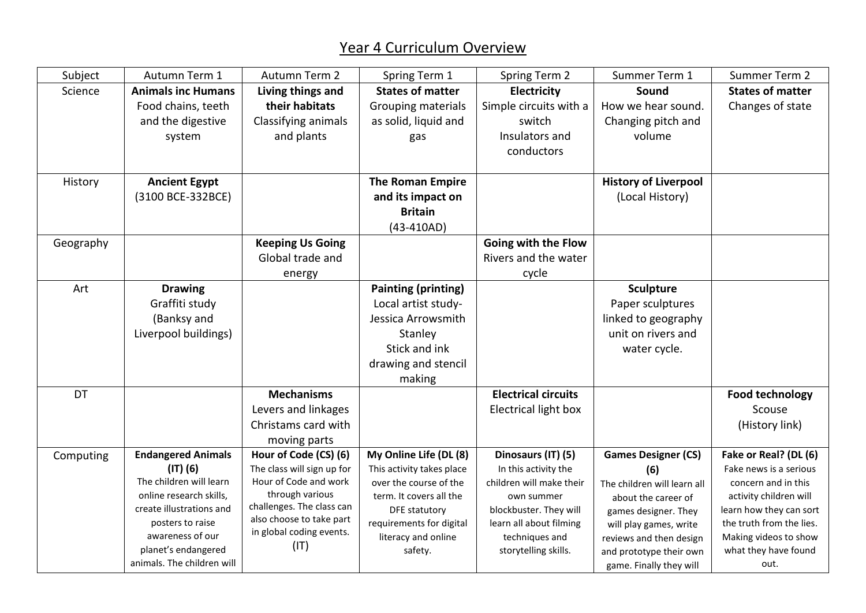## Year 4 Curriculum Overview

| Subject   | Autumn Term 1                                | Autumn Term 2                                | Spring Term 1                                    | Spring Term 2                                     | Summer Term 1                                     | Summer Term 2                                       |
|-----------|----------------------------------------------|----------------------------------------------|--------------------------------------------------|---------------------------------------------------|---------------------------------------------------|-----------------------------------------------------|
| Science   | <b>Animals inc Humans</b>                    | Living things and                            | <b>States of matter</b>                          | <b>Electricity</b>                                | Sound                                             | <b>States of matter</b>                             |
|           | Food chains, teeth                           | their habitats                               | Grouping materials                               | Simple circuits with a                            | How we hear sound.                                | Changes of state                                    |
|           | and the digestive                            | Classifying animals                          | as solid, liquid and                             | switch                                            | Changing pitch and                                |                                                     |
|           | system                                       | and plants                                   | gas                                              | Insulators and                                    | volume                                            |                                                     |
|           |                                              |                                              |                                                  | conductors                                        |                                                   |                                                     |
|           |                                              |                                              |                                                  |                                                   |                                                   |                                                     |
| History   | <b>Ancient Egypt</b>                         |                                              | <b>The Roman Empire</b>                          |                                                   | <b>History of Liverpool</b>                       |                                                     |
|           | (3100 BCE-332BCE)                            |                                              | and its impact on                                |                                                   | (Local History)                                   |                                                     |
|           |                                              |                                              | <b>Britain</b>                                   |                                                   |                                                   |                                                     |
|           |                                              |                                              | $(43-410AD)$                                     |                                                   |                                                   |                                                     |
| Geography |                                              | <b>Keeping Us Going</b>                      |                                                  | Going with the Flow                               |                                                   |                                                     |
|           |                                              | Global trade and                             |                                                  | Rivers and the water                              |                                                   |                                                     |
|           |                                              | energy                                       |                                                  | cycle                                             |                                                   |                                                     |
| Art       | <b>Drawing</b>                               |                                              | <b>Painting (printing)</b>                       |                                                   | <b>Sculpture</b>                                  |                                                     |
|           | Graffiti study                               |                                              | Local artist study-                              |                                                   | Paper sculptures                                  |                                                     |
|           | (Banksy and                                  |                                              | Jessica Arrowsmith                               |                                                   | linked to geography                               |                                                     |
|           | Liverpool buildings)                         |                                              | Stanley                                          |                                                   | unit on rivers and                                |                                                     |
|           |                                              |                                              | Stick and ink                                    |                                                   | water cycle.                                      |                                                     |
|           |                                              |                                              | drawing and stencil                              |                                                   |                                                   |                                                     |
|           |                                              |                                              | making                                           |                                                   |                                                   |                                                     |
| <b>DT</b> |                                              | <b>Mechanisms</b>                            |                                                  | <b>Electrical circuits</b>                        |                                                   | <b>Food technology</b>                              |
|           |                                              | Levers and linkages                          |                                                  | Electrical light box                              |                                                   | Scouse                                              |
|           |                                              | Christams card with                          |                                                  |                                                   |                                                   | (History link)                                      |
|           |                                              | moving parts                                 |                                                  |                                                   |                                                   |                                                     |
| Computing | <b>Endangered Animals</b>                    | Hour of Code (CS) (6)                        | My Online Life (DL (8)                           | Dinosaurs (IT) (5)                                | <b>Games Designer (CS)</b>                        | Fake or Real? (DL (6)                               |
|           | $(IT)$ $(6)$                                 | The class will sign up for                   | This activity takes place                        | In this activity the                              | (6)                                               | Fake news is a serious                              |
|           | The children will learn                      | Hour of Code and work                        | over the course of the                           | children will make their                          | The children will learn all                       | concern and in this                                 |
|           | online research skills,                      | through various<br>challenges. The class can | term. It covers all the                          | own summer                                        | about the career of                               | activity children will                              |
|           | create illustrations and<br>posters to raise | also choose to take part                     | <b>DFE</b> statutory<br>requirements for digital | blockbuster. They will<br>learn all about filming | games designer. They                              | learn how they can sort<br>the truth from the lies. |
|           | awareness of our                             | in global coding events.                     | literacy and online                              | techniques and                                    | will play games, write<br>reviews and then design | Making videos to show                               |
|           | planet's endangered                          | (IT)                                         | safety.                                          | storytelling skills.                              | and prototype their own                           | what they have found                                |
|           | animals. The children will                   |                                              |                                                  |                                                   | game. Finally they will                           | out.                                                |
|           |                                              |                                              |                                                  |                                                   |                                                   |                                                     |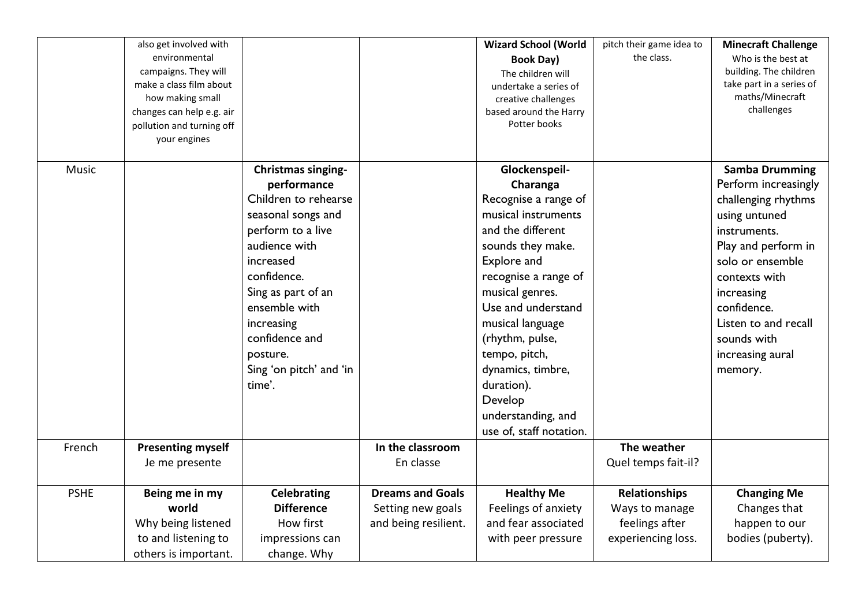|             | also get involved with<br>environmental<br>campaigns. They will<br>make a class film about<br>how making small<br>changes can help e.g. air<br>pollution and turning off<br>your engines |                                                                                                                                                                                                                                                                                  |                                                                      | <b>Wizard School (World</b><br><b>Book Day)</b><br>The children will<br>undertake a series of<br>creative challenges<br>based around the Harry<br>Potter books                                                                                                                                                                                            | pitch their game idea to<br>the class.                                  | <b>Minecraft Challenge</b><br>Who is the best at<br>building. The children<br>take part in a series of<br>maths/Minecraft<br>challenges                                                                                                                              |
|-------------|------------------------------------------------------------------------------------------------------------------------------------------------------------------------------------------|----------------------------------------------------------------------------------------------------------------------------------------------------------------------------------------------------------------------------------------------------------------------------------|----------------------------------------------------------------------|-----------------------------------------------------------------------------------------------------------------------------------------------------------------------------------------------------------------------------------------------------------------------------------------------------------------------------------------------------------|-------------------------------------------------------------------------|----------------------------------------------------------------------------------------------------------------------------------------------------------------------------------------------------------------------------------------------------------------------|
| Music       |                                                                                                                                                                                          | <b>Christmas singing-</b><br>performance<br>Children to rehearse<br>seasonal songs and<br>perform to a live<br>audience with<br>increased<br>confidence.<br>Sing as part of an<br>ensemble with<br>increasing<br>confidence and<br>posture.<br>Sing 'on pitch' and 'in<br>time'. |                                                                      | Glockenspeil-<br>Charanga<br>Recognise a range of<br>musical instruments<br>and the different<br>sounds they make.<br>Explore and<br>recognise a range of<br>musical genres.<br>Use and understand<br>musical language<br>(rhythm, pulse,<br>tempo, pitch,<br>dynamics, timbre,<br>duration).<br>Develop<br>understanding, and<br>use of, staff notation. |                                                                         | <b>Samba Drumming</b><br>Perform increasingly<br>challenging rhythms<br>using untuned<br>instruments.<br>Play and perform in<br>solo or ensemble<br>contexts with<br>increasing<br>confidence.<br>Listen to and recall<br>sounds with<br>increasing aural<br>memory. |
| French      | <b>Presenting myself</b><br>Je me presente                                                                                                                                               |                                                                                                                                                                                                                                                                                  | In the classroom<br>En classe                                        |                                                                                                                                                                                                                                                                                                                                                           | The weather<br>Quel temps fait-il?                                      |                                                                                                                                                                                                                                                                      |
| <b>PSHE</b> | Being me in my<br>world<br>Why being listened<br>to and listening to<br>others is important.                                                                                             | <b>Celebrating</b><br><b>Difference</b><br>How first<br>impressions can<br>change. Why                                                                                                                                                                                           | <b>Dreams and Goals</b><br>Setting new goals<br>and being resilient. | <b>Healthy Me</b><br>Feelings of anxiety<br>and fear associated<br>with peer pressure                                                                                                                                                                                                                                                                     | Relationships<br>Ways to manage<br>feelings after<br>experiencing loss. | <b>Changing Me</b><br>Changes that<br>happen to our<br>bodies (puberty).                                                                                                                                                                                             |